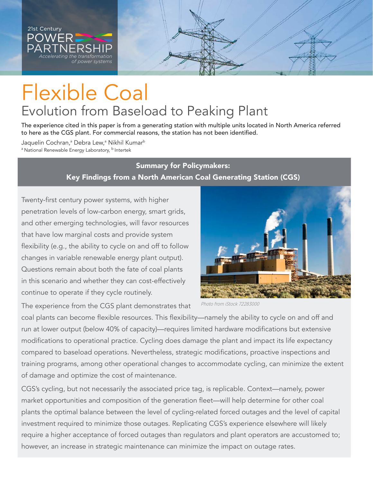

# Flexible Coal Evolution from Baseload to Peaking Plant

The experience cited in this paper is from a generating station with multiple units located in North America referred to here as the CGS plant. For commercial reasons, the station has not been identified.

Jaquelin Cochran,ª Debra Lew,ª Nikhil Kumar<sup>b</sup> <sup>a</sup> National Renewable Energy Laboratory, <sup>b</sup> Intertek

## Summary for Policymakers: Key Findings from a North American Coal Generating Station (CGS)

Twenty-first century power systems, with higher penetration levels of low-carbon energy, smart grids, and other emerging technologies, will favor resources that have low marginal costs and provide system flexibility (e.g., the ability to cycle on and off to follow changes in variable renewable energy plant output). Questions remain about both the fate of coal plants in this scenario and whether they can cost-effectively continue to operate if they cycle routinely.



The experience from the CGS plant demonstrates that

coal plants can become flexible resources. This flexibility—namely the ability to cycle on and off and run at lower output (below 40% of capacity)—requires limited hardware modifications but extensive modifications to operational practice. Cycling does damage the plant and impact its life expectancy compared to baseload operations. Nevertheless, strategic modifications, proactive inspections and training programs, among other operational changes to accommodate cycling, can minimize the extent of damage and optimize the cost of maintenance.

CGS's cycling, but not necessarily the associated price tag, is replicable. Context—namely, power market opportunities and composition of the generation fleet—will help determine for other coal plants the optimal balance between the level of cycling-related forced outages and the level of capital investment required to minimize those outages. Replicating CGS's experience elsewhere will likely require a higher acceptance of forced outages than regulators and plant operators are accustomed to; however, an increase in strategic maintenance can minimize the impact on outage rates.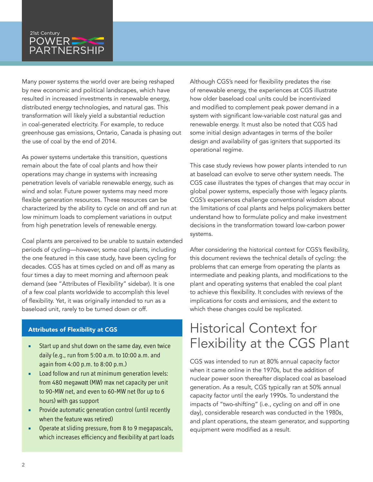### 21st Century **POWER**  $\overline{\mathsf{PARTNERSHIP}}$

*of power systems*

Many power systems the world over are being reshaped by new economic and political landscapes, which have resulted in increased investments in renewable energy, distributed energy technologies, and natural gas. This transformation will likely yield a substantial reduction in coal-generated electricity. For example, to reduce greenhouse gas emissions, Ontario, Canada is phasing out the use of coal by the end of 2014.

As power systems undertake this transition, questions remain about the fate of coal plants and how their operations may change in systems with increasing penetration levels of variable renewable energy, such as wind and solar. Future power systems may need more flexible generation resources. These resources can be characterized by the ability to cycle on and off and run at low minimum loads to complement variations in output from high penetration levels of renewable energy.

Coal plants are perceived to be unable to sustain extended periods of cycling—however, some coal plants, including the one featured in this case study, have been cycling for decades. CGS has at times cycled on and off as many as four times a day to meet morning and afternoon peak demand (see "Attributes of Flexibility" sidebar). It is one of a few coal plants worldwide to accomplish this level of flexibility. Yet, it was originally intended to run as a baseload unit, rarely to be turned down or off.

#### Attributes of Flexibility at CGS

- **EXECT** Start up and shut down on the same day, even twice daily (e.g., run from 5:00 a.m. to 10:00 a.m. and again from 4:00 p.m. to 8:00 p.m.)
- **EXECT:** Load follow and run at minimum generation levels: from 480 megawatt (MW) max net capacity per unit to 90-MW net, and even to 60-MW net (for up to 6 hours) with gas support
- **•** Provide automatic generation control (until recently when the feature was retired)
- **•** Operate at sliding pressure, from 8 to 9 megapascals, which increases efficiency and flexibility at part loads

Although CGS's need for flexibility predates the rise of renewable energy, the experiences at CGS illustrate how older baseload coal units could be incentivized and modified to complement peak power demand in a system with significant low-variable cost natural gas and renewable energy. It must also be noted that CGS had some initial design advantages in terms of the boiler design and availability of gas igniters that supported its operational regime.

This case study reviews how power plants intended to run at baseload can evolve to serve other system needs. The CGS case illustrates the types of changes that may occur in global power systems, especially those with legacy plants. CGS's experiences challenge conventional wisdom about the limitations of coal plants and helps policymakers better understand how to formulate policy and make investment decisions in the transformation toward low-carbon power systems.

After considering the historical context for CGS's flexibility, this document reviews the technical details of cycling: the problems that can emerge from operating the plants as intermediate and peaking plants, and modifications to the plant and operating systems that enabled the coal plant to achieve this flexibility. It concludes with reviews of the implications for costs and emissions, and the extent to which these changes could be replicated.

## Historical Context for Flexibility at the CGS Plant

CGS was intended to run at 80% annual capacity factor when it came online in the 1970s, but the addition of nuclear power soon thereafter displaced coal as baseload generation. As a result, CGS typically ran at 50% annual capacity factor until the early 1990s. To understand the impacts of "two-shifting" (i.e., cycling on and off in one day), considerable research was conducted in the 1980s, and plant operations, the steam generator, and supporting equipment were modified as a result.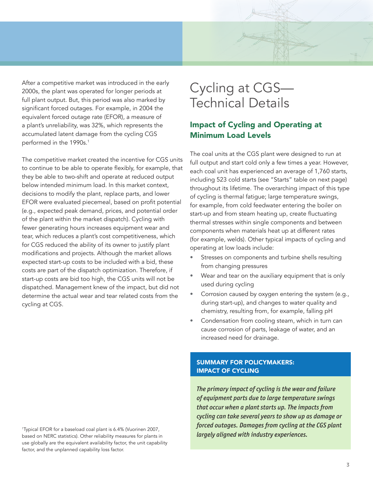After a competitive market was introduced in the early 2000s, the plant was operated for longer periods at full plant output. But, this period was also marked by significant forced outages. For example, in 2004 the equivalent forced outage rate (EFOR), a measure of a plant's unreliability, was 32%, which represents the accumulated latent damage from the cycling CGS performed in the 1990s.<sup>1</sup>

The competitive market created the incentive for CGS units to continue to be able to operate flexibly, for example, that they be able to two-shift and operate at reduced output below intended minimum load. In this market context, decisions to modify the plant, replace parts, and lower EFOR were evaluated piecemeal, based on profit potential (e.g., expected peak demand, prices, and potential order of the plant within the market dispatch). Cycling with fewer generating hours increases equipment wear and tear, which reduces a plant's cost competitiveness, which for CGS reduced the ability of its owner to justify plant modifications and projects. Although the market allows expected start-up costs to be included with a bid, these costs are part of the dispatch optimization. Therefore, if start-up costs are bid too high, the CGS units will not be dispatched. Management knew of the impact, but did not determine the actual wear and tear related costs from the cycling at CGS.

## Cycling at CGS— Technical Details

## Impact of Cycling and Operating at Minimum Load Levels

The coal units at the CGS plant were designed to run at full output and start cold only a few times a year. However, each coal unit has experienced an average of 1,760 starts, including 523 cold starts (see "Starts" table on next page) throughout its lifetime. The overarching impact of this type of cycling is thermal fatigue; large temperature swings, for example, from cold feedwater entering the boiler on start-up and from steam heating up, create fluctuating thermal stresses within single components and between components when materials heat up at different rates (for example, welds). Other typical impacts of cycling and operating at low loads include:

- Stresses on components and turbine shells resulting from changing pressures
- Wear and tear on the auxiliary equipment that is only used during cycling
- Corrosion caused by oxygen entering the system (e.g., during start-up), and changes to water quality and chemistry, resulting from, for example, falling pH
- Condensation from cooling steam, which in turn can cause corrosion of parts, leakage of water, and an increased need for drainage.

#### SUMMARY FOR POLICYMAKERS: IMPACT OF CYCLING

*The primary impact of cycling is the wear and failure of equipment parts due to large temperature swings that occur when a plant starts up. The impacts from cycling can take several years to show up as damage or forced outages. Damages from cycling at the CGS plant largely aligned with industry experiences.*

1 Typical EFOR for a baseload coal plant is 6.4% (Vuorinen 2007, based on NERC statistics). Other reliability measures for plants in use globally are the equivalent availability factor, the unit capability factor, and the unplanned capability loss factor.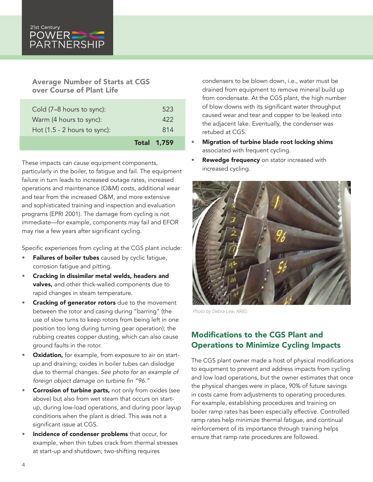#### Average Number of Starts at CGS over Course of Plant Life

*of power systems*

|                                | <b>Total 1,759</b> |
|--------------------------------|--------------------|
| Hot $(1.5 - 2$ hours to sync): | 814                |
| Warm (4 hours to sync):        | 422                |
| Cold (7-8 hours to sync):      | 523                |

These impacts can cause equipment components, particularly in the boiler, to fatigue and fail. The equipment failure in turn leads to increased outage rates, increased operations and maintenance (O&M) costs, additional wear and tear from the increased O&M, and more extensive and sophisticated training and inspection and evaluation programs (EPRI 2001). The damage from cycling is not immediate—for example, components may fail and EFOR may rise a few years after significant cycling.

Specific experiences from cycling at the CGS plant include:

- Failures of boiler tubes caused by cyclic fatigue, corrosion fatigue and pitting.
- Cracking in dissimilar metal welds, headers and valves, and other thick-walled components due to rapid changes in steam temperature.
- Cracking of generator rotors due to the movement between the rotor and casing during "barring" (the use of slow turns to keep rotors from being left in one position too long during turning gear operation); the rubbing creates copper dusting, which can also cause ground faults in the rotor.
- Oxidation, for example, from exposure to air on startup and draining; oxides in boiler tubes can dislodge due to thermal changes. *See photo for an example of*  foreign object damage on turbine fin "96."
- Corrosion of turbine parts, not only from oxides (see above) but also from wet steam that occurs on startup, during low-load operations, and during poor layup conditions when the plant is dried. This was not a significant issue at CGS.
- **Incidence of condenser problems** that occur, for example, when thin tubes crack from thermal stresses at start-up and shutdown; two-shifting requires

condensers to be blown down, i.e., water must be drained from equipment to remove mineral build up from condensate. At the CGS plant, the high number of blow downs with its significant water throughput caused wear and tear and copper to be leaked into the adjacent lake. Eventually, the condenser was retubed at CGS.

- Migration of turbine blade root locking shims associated with frequent cycling.
- Rewedge frequency on stator increased with increased cycling.



Photo by Debra Lew, NREL

## Modifications to the CGS Plant and Operations to Minimize Cycling Impacts

The CGS plant owner made a host of physical modifications to equipment to prevent and address impacts from cycling and low load operations, but the owner estimates that once the physical changes were in place, 90% of future savings in costs came from adjustments to operating procedures. For example, establishing procedures and training on boiler ramp rates has been especially effective. Controlled ramp rates help minimize thermal fatigue, and continual reinforcement of its importance through training helps ensure that ramp rate procedures are followed.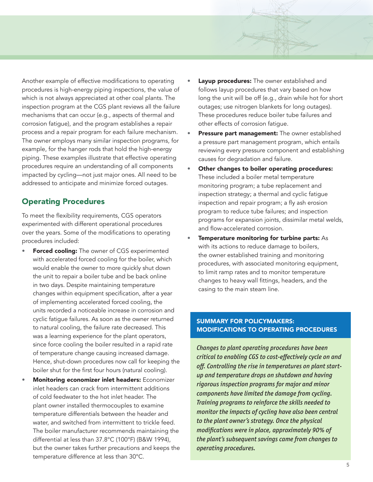Another example of effective modifications to operating procedures is high-energy piping inspections, the value of which is not always appreciated at other coal plants. The inspection program at the CGS plant reviews all the failure mechanisms that can occur (e.g., aspects of thermal and corrosion fatigue), and the program establishes a repair process and a repair program for each failure mechanism. The owner employs many similar inspection programs, for example, for the hanger rods that hold the high-energy piping. These examples illustrate that effective operating procedures require an understanding of all components impacted by cycling—not just major ones. All need to be addressed to anticipate and minimize forced outages.

#### Operating Procedures

To meet the flexibility requirements, CGS operators experimented with different operational procedures over the years. Some of the modifications to operating procedures included:

- Forced cooling: The owner of CGS experimented with accelerated forced cooling for the boiler, which would enable the owner to more quickly shut down the unit to repair a boiler tube and be back online in two days. Despite maintaining temperature changes within equipment specification, after a year of implementing accelerated forced cooling, the units recorded a noticeable increase in corrosion and cyclic fatigue failures. As soon as the owner returned to natural cooling, the failure rate decreased. This was a learning experience for the plant operators, since force cooling the boiler resulted in a rapid rate of temperature change causing increased damage. Hence, shut-down procedures now call for keeping the boiler shut for the first four hours (natural cooling).
- Monitoring economizer inlet headers: Economizer inlet headers can crack from intermittent additions of cold feedwater to the hot inlet header. The plant owner installed thermocouples to examine temperature differentials between the header and water, and switched from intermittent to trickle feed. The boiler manufacturer recommends maintaining the differential at less than 37.8°C (100°F) (B&W 1994), but the owner takes further precautions and keeps the temperature difference at less than 30°C.
- Layup procedures: The owner established and follows layup procedures that vary based on how long the unit will be off (e.g., drain while hot for short outages; use nitrogen blankets for long outages). These procedures reduce boiler tube failures and other effects of corrosion fatigue.
- Pressure part management: The owner established a pressure part management program, which entails reviewing every pressure component and establishing causes for degradation and failure.
- Other changes to boiler operating procedures: These included a boiler metal temperature monitoring program; a tube replacement and inspection strategy; a thermal and cyclic fatigue inspection and repair program; a fly ash erosion program to reduce tube failures; and inspection programs for expansion joints, dissimilar metal welds, and flow-accelerated corrosion.
- Temperature monitoring for turbine parts: As with its actions to reduce damage to boilers, the owner established training and monitoring procedures, with associated monitoring equipment, to limit ramp rates and to monitor temperature changes to heavy wall fittings, headers, and the casing to the main steam line.

#### SUMMARY FOR POLICYMAKERS: MODIFICATIONS TO OPERATING PROCEDURES

*Changes to plant operating procedures have been critical to enabling CGS to cost-effectively cycle on and off. Controlling the rise in temperatures on plant startup and temperature drops on shutdown and having rigorous inspection programs for major and minor components have limited the damage from cycling. Training programs to reinforce the skills needed to monitor the impacts of cycling have also been central to the plant owner's strategy. Once the physical modifications were in place, approximately 90% of the plant's subsequent savings came from changes to operating procedures.*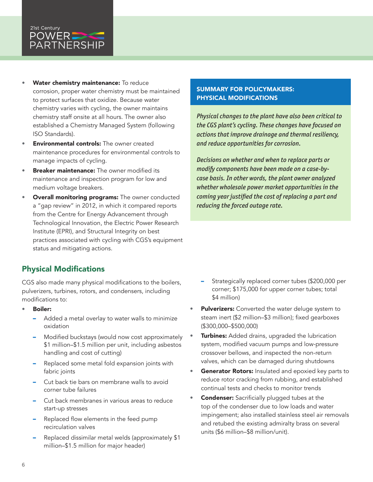#### 21st Century POWER – **PARTNERSHIP**

*of power systems*

- Water chemistry maintenance: To reduce corrosion, proper water chemistry must be maintained to protect surfaces that oxidize. Because water chemistry varies with cycling, the owner maintains chemistry staff onsite at all hours. The owner also established a Chemistry Managed System (following ISO Standards).
- **Environmental controls:** The owner created maintenance procedures for environmental controls to manage impacts of cycling.
- **Breaker maintenance:** The owner modified its maintenance and inspection program for low and medium voltage breakers.
- Overall monitoring programs: The owner conducted a "gap review" in 2012, in which it compared reports from the Centre for Energy Advancement through Technological Innovation, the Electric Power Research Institute (EPRI), and Structural Integrity on best practices associated with cycling with CGS's equipment status and mitigating actions.

## Physical Modifications

CGS also made many physical modifications to the boilers, pulverizers, turbines, rotors, and condensers, including modifications to:

- Boiler:
	- Added a metal overlay to water walls to minimize oxidation
	- Modified buckstays (would now cost approximately \$1 million–\$1.5 million per unit, including asbestos handling and cost of cutting)
	- Replaced some metal fold expansion joints with fabric joints
	- Cut back tie bars on membrane walls to avoid corner tube failures
	- Cut back membranes in various areas to reduce start-up stresses
	- Replaced flow elements in the feed pump recirculation valves
	- Replaced dissimilar metal welds (approximately \$1 million–\$1.5 million for major header)

#### SUMMARY FOR POLICYMAKERS: PHYSICAL MODIFICATIONS

*Physical changes to the plant have also been critical to the CGS plant's cycling. These changes have focused on actions that improve drainage and thermal resiliency, and reduce opportunities for corrosion.* 

*Decisions on whether and when to replace parts or modify components have been made on a case-bycase basis. In other words, the plant owner analyzed whether wholesale power market opportunities in the coming year justified the cost of replacing a part and reducing the forced outage rate.*

- Strategically replaced corner tubes (\$200,000 per corner; \$175,000 for upper corner tubes; total \$4 million)
- Pulverizers: Converted the water deluge system to steam inert (\$2 million–\$3 million); fixed gearboxes (\$300,000–\$500,000)
- **Turbines:** Added drains, upgraded the lubrication system, modified vacuum pumps and low-pressure crossover bellows, and inspected the non-return valves, which can be damaged during shutdowns
- Generator Rotors: Insulated and epoxied key parts to reduce rotor cracking from rubbing, and established continual tests and checks to monitor trends
- **Condenser:** Sacrificially plugged tubes at the top of the condenser due to low loads and water impingement; also installed stainless steel air removals and retubed the existing admiralty brass on several units (\$6 million–\$8 million/unit).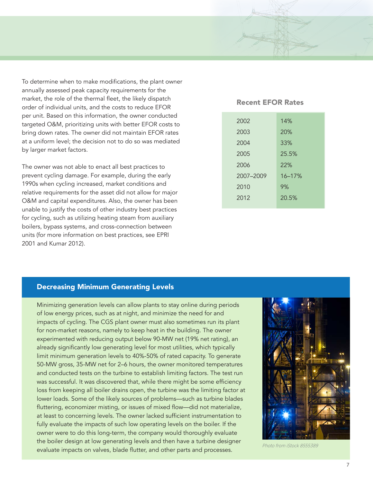To determine when to make modifications, the plant owner annually assessed peak capacity requirements for the market, the role of the thermal fleet, the likely dispatch order of individual units, and the costs to reduce EFOR per unit. Based on this information, the owner conducted targeted O&M, prioritizing units with better EFOR costs to bring down rates. The owner did not maintain EFOR rates at a uniform level; the decision not to do so was mediated by larger market factors.

The owner was not able to enact all best practices to prevent cycling damage. For example, during the early 1990s when cycling increased, market conditions and relative requirements for the asset did not allow for major O&M and capital expenditures. Also, the owner has been unable to justify the costs of other industry best practices for cycling, such as utilizing heating steam from auxiliary boilers, bypass systems, and cross-connection between units (for more information on best practices, see EPRI 2001 and Kumar 2012).

#### Recent EFOR Rates

| 2002      | 14%        |
|-----------|------------|
| 2003      | 20%        |
| 2004      | 33%        |
| 2005      | 25.5%      |
| 2006      | 22%        |
| 2007-2009 | $16 - 17%$ |
| 2010      | 9%         |
| 2012      | 20.5%      |
|           |            |

#### Decreasing Minimum Generating Levels

Minimizing generation levels can allow plants to stay online during periods of low energy prices, such as at night, and minimize the need for and impacts of cycling. The CGS plant owner must also sometimes run its plant for non-market reasons, namely to keep heat in the building. The owner experimented with reducing output below 90-MW net (19% net rating), an already significantly low generating level for most utilities, which typically limit minimum generation levels to 40%-50% of rated capacity. To generate 50-MW gross, 35-MW net for 2–6 hours, the owner monitored temperatures and conducted tests on the turbine to establish limiting factors. The test run was successful. It was discovered that, while there might be some efficiency loss from keeping all boiler drains open, the turbine was the limiting factor at lower loads. Some of the likely sources of problems—such as turbine blades fluttering, economizer misting, or issues of mixed flow—did not materialize, at least to concerning levels. The owner lacked sufficient instrumentation to fully evaluate the impacts of such low operating levels on the boiler. If the owner were to do this long-term, the company would thoroughly evaluate the boiler design at low generating levels and then have a turbine designer evaluate impacts on valves, blade flutter, and other parts and processes.



Photo from iStock 8555389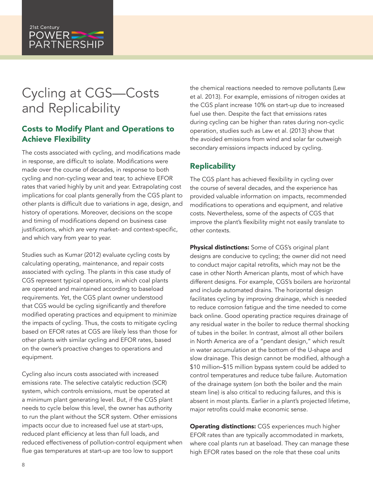

## Cycling at CGS—Costs and Replicability

*of power systems*

## Costs to Modify Plant and Operations to Achieve Flexibility

The costs associated with cycling, and modifications made in response, are difficult to isolate. Modifications were made over the course of decades, in response to both cycling and non-cycling wear and tear, to achieve EFOR rates that varied highly by unit and year. Extrapolating cost implications for coal plants generally from the CGS plant to other plants is difficult due to variations in age, design, and history of operations. Moreover, decisions on the scope and timing of modifications depend on business case justifications, which are very market- and context-specific, and which vary from year to year.

Studies such as Kumar (2012) evaluate cycling costs by calculating operating, maintenance, and repair costs associated with cycling. The plants in this case study of CGS represent typical operations, in which coal plants are operated and maintained according to baseload requirements. Yet, the CGS plant owner understood that CGS would be cycling significantly and therefore modified operating practices and equipment to minimize the impacts of cycling. Thus, the costs to mitigate cycling based on EFOR rates at CGS are likely less than those for other plants with similar cycling and EFOR rates, based on the owner's proactive changes to operations and equipment.

Cycling also incurs costs associated with increased emissions rate. The selective catalytic reduction (SCR) system, which controls emissions, must be operated at a minimum plant generating level. But, if the CGS plant needs to cycle below this level, the owner has authority to run the plant without the SCR system. Other emissions impacts occur due to increased fuel use at start-ups, reduced plant efficiency at less than full loads, and reduced effectiveness of pollution-control equipment when flue gas temperatures at start-up are too low to support

the chemical reactions needed to remove pollutants (Lew et al. 2013). For example, emissions of nitrogen oxides at the CGS plant increase 10% on start-up due to increased fuel use then. Despite the fact that emissions rates during cycling can be higher than rates during non-cyclic operation, studies such as Lew et al. (2013) show that the avoided emissions from wind and solar far outweigh secondary emissions impacts induced by cycling.

### Replicability

The CGS plant has achieved flexibility in cycling over the course of several decades, and the experience has provided valuable information on impacts, recommended modifications to operations and equipment, and relative costs. Nevertheless, some of the aspects of CGS that improve the plant's flexibility might not easily translate to other contexts.

Physical distinctions: Some of CGS's original plant designs are conducive to cycling; the owner did not need to conduct major capital retrofits, which may not be the case in other North American plants, most of which have different designs. For example, CGS's boilers are horizontal and include automated drains. The horizontal design facilitates cycling by improving drainage, which is needed to reduce corrosion fatigue and the time needed to come back online. Good operating practice requires drainage of any residual water in the boiler to reduce thermal shocking of tubes in the boiler. In contrast, almost all other boilers in North America are of a "pendant design," which result in water accumulation at the bottom of the U-shape and slow drainage. This design cannot be modified, although a \$10 million–\$15 million bypass system could be added to control temperatures and reduce tube failure. Automation of the drainage system (on both the boiler and the main steam line) is also critical to reducing failures, and this is absent in most plants. Earlier in a plant's projected lifetime, major retrofits could make economic sense.

**Operating distinctions:** CGS experiences much higher EFOR rates than are typically accommodated in markets, where coal plants run at baseload. They can manage these high EFOR rates based on the role that these coal units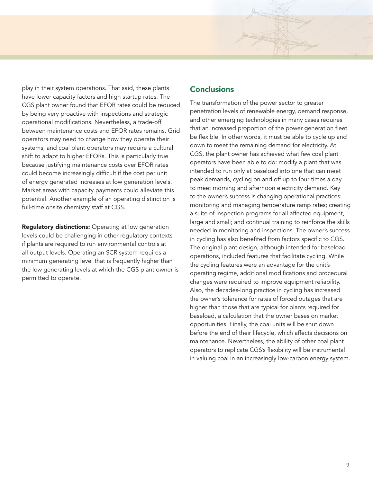play in their system operations. That said, these plants have lower capacity factors and high startup rates. The CGS plant owner found that EFOR rates could be reduced by being very proactive with inspections and strategic operational modifications. Nevertheless, a trade-off between maintenance costs and EFOR rates remains. Grid operators may need to change how they operate their systems, and coal plant operators may require a cultural shift to adapt to higher EFORs. This is particularly true because justifying maintenance costs over EFOR rates could become increasingly difficult if the cost per unit of energy generated increases at low generation levels. Market areas with capacity payments could alleviate this potential. Another example of an operating distinction is full-time onsite chemistry staff at CGS.

**Regulatory distinctions:** Operating at low generation levels could be challenging in other regulatory contexts if plants are required to run environmental controls at all output levels. Operating an SCR system requires a minimum generating level that is frequently higher than the low generating levels at which the CGS plant owner is permitted to operate.

#### **Conclusions**

The transformation of the power sector to greater penetration levels of renewable energy, demand response, and other emerging technologies in many cases requires that an increased proportion of the power generation fleet be flexible. In other words, it must be able to cycle up and down to meet the remaining demand for electricity. At CGS, the plant owner has achieved what few coal plant operators have been able to do: modify a plant that was intended to run only at baseload into one that can meet peak demands, cycling on and off up to four times a day to meet morning and afternoon electricity demand. Key to the owner's success is changing operational practices: monitoring and managing temperature ramp rates; creating a suite of inspection programs for all affected equipment, large and small; and continual training to reinforce the skills needed in monitoring and inspections. The owner's success in cycling has also benefited from factors specific to CGS. The original plant design, although intended for baseload operations, included features that facilitate cycling. While the cycling features were an advantage for the unit's operating regime, additional modifications and procedural changes were required to improve equipment reliability. Also, the decades-long practice in cycling has increased the owner's tolerance for rates of forced outages that are higher than those that are typical for plants required for baseload, a calculation that the owner bases on market opportunities. Finally, the coal units will be shut down before the end of their lifecycle, which affects decisions on maintenance. Nevertheless, the ability of other coal plant operators to replicate CGS's flexibility will be instrumental in valuing coal in an increasingly low-carbon energy system.